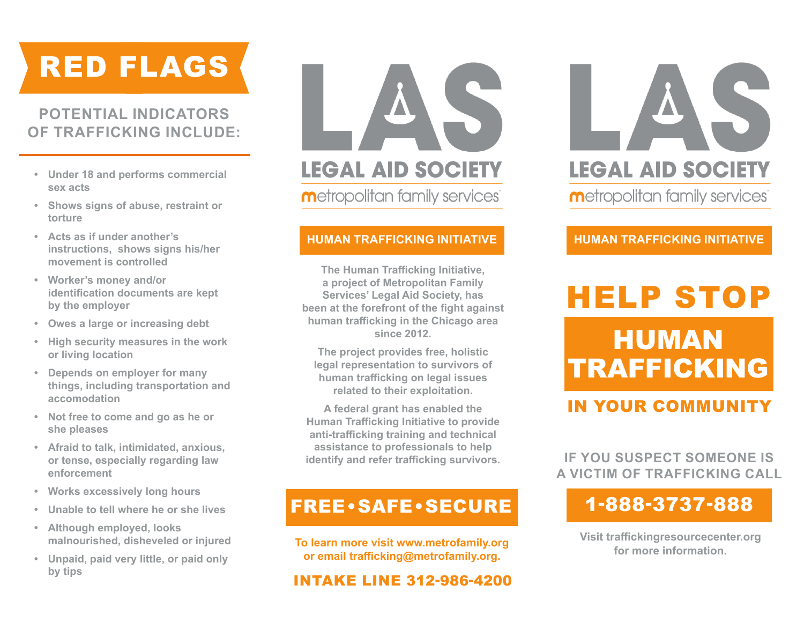# RED FLAGS

# **POTENTIAL INDICATORS OF TRAFFICKING INCLUDE:**

- **• Under 18 and performs commercial sex acts**
- **• Shows signs of abuse, restraint or torture**
- **• Acts as if under another's instructions, shows signs his/her movement is controlled**
- **• Worker's money and/or identification documents are kept by the employer**
- **• Owes a large or increasing debt**
- **• High security measures in the work or living location**
- **• Depends on employer for many things, including transportation and accomodation**
- **• Not free to come and go as he or she pleases**
- **• Afraid to talk, intimidated, anxious, or tense, especially regarding law enforcement**
- **• Works excessively long hours**
- **• Unable to tell where he or she lives**
- **• Although employed, looks malnourished, disheveled or injured**
- **• Unpaid, paid very little, or paid only by tips**

# **LEGAL AID SOCIETY**

**Metropolitan family services** 

#### **HUMAN TRAFFICKING INITIATIVE HUMAN TRAFFICKING INITIATIVE**

**The Human Trafficking Initiative, a project of Metropolitan Family Services' Legal Aid Society, has been at the forefront of the fight against human trafficking in the Chicago area since 2012.** 

**The project provides free, holistic legal representation to survivors of human trafficking on legal issues related to their exploitation.** 

**A federal grant has enabled the Human Trafficking Initiative to provide anti-trafficking training and technical assistance to professionals to help identify and refer trafficking survivors.** 

# FREE•SAFE•SECURE

**To learn more visit www.metrofamily.org or email trafficking@metrofamily.org.**

# INTAKE LINE 312-986-4200



# HUMAN TRAFFICKING HELP STOP

# IN YOUR COMMUNITY

**IF YOU SUSPECT SOMEONE IS A VICTIM OF TRAFFICKING CALL** 

# 1-888-3737-888

**Visit traffickingresourcecenter.org for more information.**